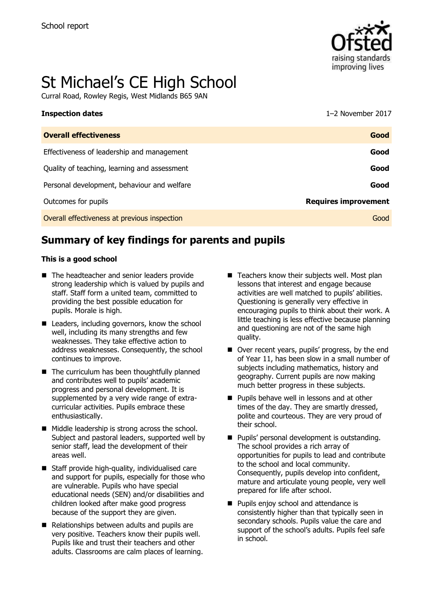

# St Michael's CE High School

Curral Road, Rowley Regis, West Midlands B65 9AN

| <b>Inspection dates</b>                      | 1-2 November 2017           |
|----------------------------------------------|-----------------------------|
| <b>Overall effectiveness</b>                 | Good                        |
| Effectiveness of leadership and management   | Good                        |
| Quality of teaching, learning and assessment | Good                        |
| Personal development, behaviour and welfare  | Good                        |
| Outcomes for pupils                          | <b>Requires improvement</b> |
| Overall effectiveness at previous inspection | Good                        |
|                                              |                             |

# **Summary of key findings for parents and pupils**

#### **This is a good school**

- The headteacher and senior leaders provide strong leadership which is valued by pupils and staff. Staff form a united team, committed to providing the best possible education for pupils. Morale is high.
- Leaders, including governors, know the school well, including its many strengths and few weaknesses. They take effective action to address weaknesses. Consequently, the school continues to improve.
- $\blacksquare$  The curriculum has been thoughtfully planned and contributes well to pupils' academic progress and personal development. It is supplemented by a very wide range of extracurricular activities. Pupils embrace these enthusiastically.
- $\blacksquare$  Middle leadership is strong across the school. Subject and pastoral leaders, supported well by senior staff, lead the development of their areas well.
- Staff provide high-quality, individualised care and support for pupils, especially for those who are vulnerable. Pupils who have special educational needs (SEN) and/or disabilities and children looked after make good progress because of the support they are given.
- Relationships between adults and pupils are very positive. Teachers know their pupils well. Pupils like and trust their teachers and other adults. Classrooms are calm places of learning.
- $\blacksquare$  Teachers know their subjects well. Most plan lessons that interest and engage because activities are well matched to pupils' abilities. Questioning is generally very effective in encouraging pupils to think about their work. A little teaching is less effective because planning and questioning are not of the same high quality.
- Over recent years, pupils' progress, by the end of Year 11, has been slow in a small number of subjects including mathematics, history and geography. Current pupils are now making much better progress in these subjects.
- $\blacksquare$  Pupils behave well in lessons and at other times of the day. They are smartly dressed, polite and courteous. They are very proud of their school.
- **Pupils' personal development is outstanding.** The school provides a rich array of opportunities for pupils to lead and contribute to the school and local community. Consequently, pupils develop into confident, mature and articulate young people, very well prepared for life after school.
- **Pupils enjoy school and attendance is** consistently higher than that typically seen in secondary schools. Pupils value the care and support of the school's adults. Pupils feel safe in school.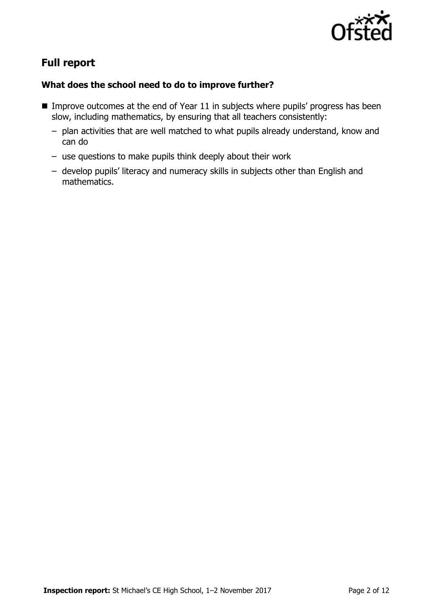

# **Full report**

### **What does the school need to do to improve further?**

- **IMPROVE OUTCOMES at the end of Year 11 in subjects where pupils' progress has been** slow, including mathematics, by ensuring that all teachers consistently:
	- plan activities that are well matched to what pupils already understand, know and can do
	- use questions to make pupils think deeply about their work
	- develop pupils' literacy and numeracy skills in subjects other than English and mathematics.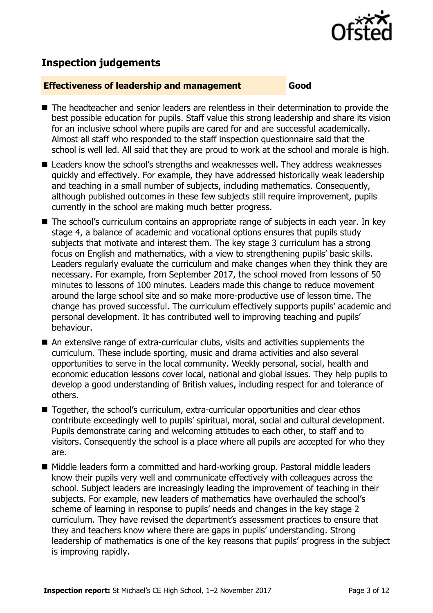

## **Inspection judgements**

#### **Effectiveness of leadership and management Good**

- The headteacher and senior leaders are relentless in their determination to provide the best possible education for pupils. Staff value this strong leadership and share its vision for an inclusive school where pupils are cared for and are successful academically. Almost all staff who responded to the staff inspection questionnaire said that the school is well led. All said that they are proud to work at the school and morale is high.
- Leaders know the school's strengths and weaknesses well. They address weaknesses quickly and effectively. For example, they have addressed historically weak leadership and teaching in a small number of subjects, including mathematics. Consequently, although published outcomes in these few subjects still require improvement, pupils currently in the school are making much better progress.
- The school's curriculum contains an appropriate range of subjects in each year. In key stage 4, a balance of academic and vocational options ensures that pupils study subjects that motivate and interest them. The key stage 3 curriculum has a strong focus on English and mathematics, with a view to strengthening pupils' basic skills. Leaders regularly evaluate the curriculum and make changes when they think they are necessary. For example, from September 2017, the school moved from lessons of 50 minutes to lessons of 100 minutes. Leaders made this change to reduce movement around the large school site and so make more-productive use of lesson time. The change has proved successful. The curriculum effectively supports pupils' academic and personal development. It has contributed well to improving teaching and pupils' behaviour.
- An extensive range of extra-curricular clubs, visits and activities supplements the curriculum. These include sporting, music and drama activities and also several opportunities to serve in the local community. Weekly personal, social, health and economic education lessons cover local, national and global issues. They help pupils to develop a good understanding of British values, including respect for and tolerance of others.
- Together, the school's curriculum, extra-curricular opportunities and clear ethos contribute exceedingly well to pupils' spiritual, moral, social and cultural development. Pupils demonstrate caring and welcoming attitudes to each other, to staff and to visitors. Consequently the school is a place where all pupils are accepted for who they are.
- Middle leaders form a committed and hard-working group. Pastoral middle leaders know their pupils very well and communicate effectively with colleagues across the school. Subject leaders are increasingly leading the improvement of teaching in their subjects. For example, new leaders of mathematics have overhauled the school's scheme of learning in response to pupils' needs and changes in the key stage 2 curriculum. They have revised the department's assessment practices to ensure that they and teachers know where there are gaps in pupils' understanding. Strong leadership of mathematics is one of the key reasons that pupils' progress in the subject is improving rapidly.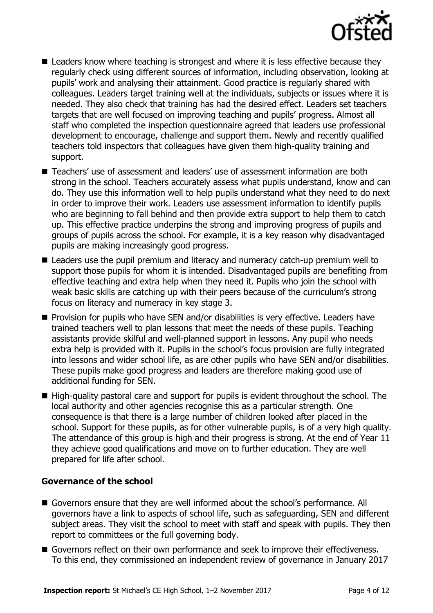

- Leaders know where teaching is strongest and where it is less effective because they regularly check using different sources of information, including observation, looking at pupils' work and analysing their attainment. Good practice is regularly shared with colleagues. Leaders target training well at the individuals, subjects or issues where it is needed. They also check that training has had the desired effect. Leaders set teachers targets that are well focused on improving teaching and pupils' progress. Almost all staff who completed the inspection questionnaire agreed that leaders use professional development to encourage, challenge and support them. Newly and recently qualified teachers told inspectors that colleagues have given them high-quality training and support.
- Teachers' use of assessment and leaders' use of assessment information are both strong in the school. Teachers accurately assess what pupils understand, know and can do. They use this information well to help pupils understand what they need to do next in order to improve their work. Leaders use assessment information to identify pupils who are beginning to fall behind and then provide extra support to help them to catch up. This effective practice underpins the strong and improving progress of pupils and groups of pupils across the school. For example, it is a key reason why disadvantaged pupils are making increasingly good progress.
- Leaders use the pupil premium and literacy and numeracy catch-up premium well to support those pupils for whom it is intended. Disadvantaged pupils are benefiting from effective teaching and extra help when they need it. Pupils who join the school with weak basic skills are catching up with their peers because of the curriculum's strong focus on literacy and numeracy in key stage 3.
- $\blacksquare$  Provision for pupils who have SEN and/or disabilities is very effective. Leaders have trained teachers well to plan lessons that meet the needs of these pupils. Teaching assistants provide skilful and well-planned support in lessons. Any pupil who needs extra help is provided with it. Pupils in the school's focus provision are fully integrated into lessons and wider school life, as are other pupils who have SEN and/or disabilities. These pupils make good progress and leaders are therefore making good use of additional funding for SEN.
- High-quality pastoral care and support for pupils is evident throughout the school. The local authority and other agencies recognise this as a particular strength. One consequence is that there is a large number of children looked after placed in the school. Support for these pupils, as for other vulnerable pupils, is of a very high quality. The attendance of this group is high and their progress is strong. At the end of Year 11 they achieve good qualifications and move on to further education. They are well prepared for life after school.

#### **Governance of the school**

- Governors ensure that they are well informed about the school's performance. All governors have a link to aspects of school life, such as safeguarding, SEN and different subject areas. They visit the school to meet with staff and speak with pupils. They then report to committees or the full governing body.
- Governors reflect on their own performance and seek to improve their effectiveness. To this end, they commissioned an independent review of governance in January 2017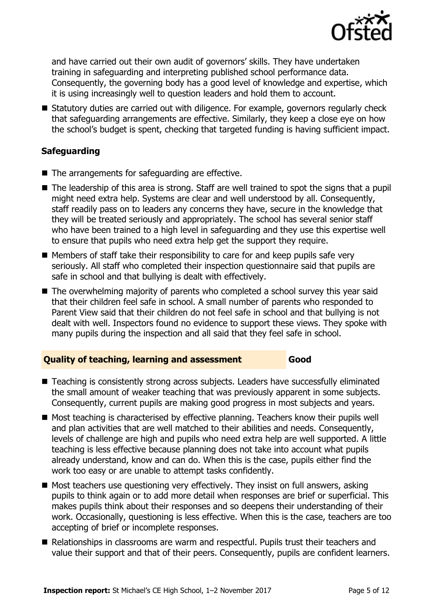

and have carried out their own audit of governors' skills. They have undertaken training in safeguarding and interpreting published school performance data. Consequently, the governing body has a good level of knowledge and expertise, which it is using increasingly well to question leaders and hold them to account.

■ Statutory duties are carried out with diligence. For example, governors regularly check that safeguarding arrangements are effective. Similarly, they keep a close eye on how the school's budget is spent, checking that targeted funding is having sufficient impact.

#### **Safeguarding**

- $\blacksquare$  The arrangements for safeguarding are effective.
- The leadership of this area is strong. Staff are well trained to spot the signs that a pupil might need extra help. Systems are clear and well understood by all. Consequently, staff readily pass on to leaders any concerns they have, secure in the knowledge that they will be treated seriously and appropriately. The school has several senior staff who have been trained to a high level in safeguarding and they use this expertise well to ensure that pupils who need extra help get the support they require.
- $\blacksquare$  Members of staff take their responsibility to care for and keep pupils safe very seriously. All staff who completed their inspection questionnaire said that pupils are safe in school and that bullying is dealt with effectively.
- The overwhelming majority of parents who completed a school survey this year said that their children feel safe in school. A small number of parents who responded to Parent View said that their children do not feel safe in school and that bullying is not dealt with well. Inspectors found no evidence to support these views. They spoke with many pupils during the inspection and all said that they feel safe in school.

#### **Quality of teaching, learning and assessment Good**

- Teaching is consistently strong across subjects. Leaders have successfully eliminated the small amount of weaker teaching that was previously apparent in some subjects. Consequently, current pupils are making good progress in most subjects and years.
- Most teaching is characterised by effective planning. Teachers know their pupils well and plan activities that are well matched to their abilities and needs. Consequently, levels of challenge are high and pupils who need extra help are well supported. A little teaching is less effective because planning does not take into account what pupils already understand, know and can do. When this is the case, pupils either find the work too easy or are unable to attempt tasks confidently.
- $\blacksquare$  Most teachers use questioning very effectively. They insist on full answers, asking pupils to think again or to add more detail when responses are brief or superficial. This makes pupils think about their responses and so deepens their understanding of their work. Occasionally, questioning is less effective. When this is the case, teachers are too accepting of brief or incomplete responses.
- Relationships in classrooms are warm and respectful. Pupils trust their teachers and value their support and that of their peers. Consequently, pupils are confident learners.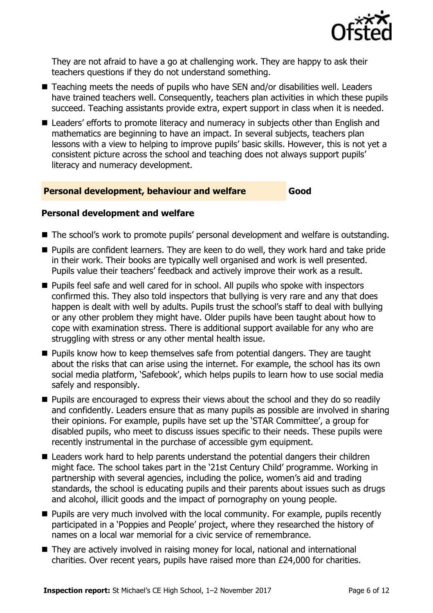

They are not afraid to have a go at challenging work. They are happy to ask their teachers questions if they do not understand something.

- Teaching meets the needs of pupils who have SEN and/or disabilities well. Leaders have trained teachers well. Consequently, teachers plan activities in which these pupils succeed. Teaching assistants provide extra, expert support in class when it is needed.
- Leaders' efforts to promote literacy and numeracy in subjects other than English and mathematics are beginning to have an impact. In several subjects, teachers plan lessons with a view to helping to improve pupils' basic skills. However, this is not yet a consistent picture across the school and teaching does not always support pupils' literacy and numeracy development.

#### **Personal development, behaviour and welfare Good**

#### **Personal development and welfare**

- The school's work to promote pupils' personal development and welfare is outstanding.
- **Pupils are confident learners. They are keen to do well, they work hard and take pride** in their work. Their books are typically well organised and work is well presented. Pupils value their teachers' feedback and actively improve their work as a result.
- **Pupils feel safe and well cared for in school. All pupils who spoke with inspectors** confirmed this. They also told inspectors that bullying is very rare and any that does happen is dealt with well by adults. Pupils trust the school's staff to deal with bullying or any other problem they might have. Older pupils have been taught about how to cope with examination stress. There is additional support available for any who are struggling with stress or any other mental health issue.
- **Pupils know how to keep themselves safe from potential dangers. They are taught** about the risks that can arise using the internet. For example, the school has its own social media platform, 'Safebook', which helps pupils to learn how to use social media safely and responsibly.
- **Pupils are encouraged to express their views about the school and they do so readily** and confidently. Leaders ensure that as many pupils as possible are involved in sharing their opinions. For example, pupils have set up the 'STAR Committee', a group for disabled pupils, who meet to discuss issues specific to their needs. These pupils were recently instrumental in the purchase of accessible gym equipment.
- Leaders work hard to help parents understand the potential dangers their children might face. The school takes part in the '21st Century Child' programme. Working in partnership with several agencies, including the police, women's aid and trading standards, the school is educating pupils and their parents about issues such as drugs and alcohol, illicit goods and the impact of pornography on young people.
- $\blacksquare$  Pupils are very much involved with the local community. For example, pupils recently participated in a 'Poppies and People' project, where they researched the history of names on a local war memorial for a civic service of remembrance.
- They are actively involved in raising money for local, national and international charities. Over recent years, pupils have raised more than £24,000 for charities.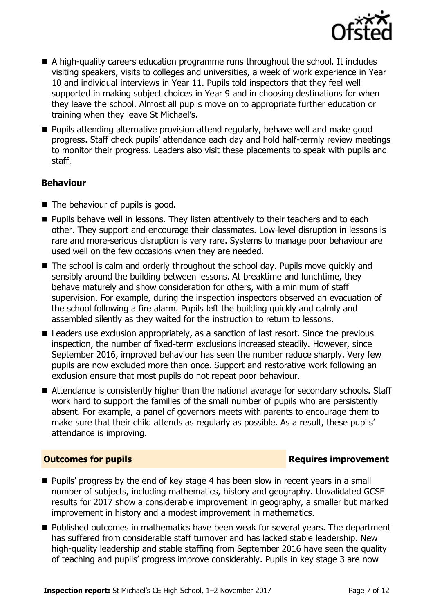

- A high-quality careers education programme runs throughout the school. It includes visiting speakers, visits to colleges and universities, a week of work experience in Year 10 and individual interviews in Year 11. Pupils told inspectors that they feel well supported in making subject choices in Year 9 and in choosing destinations for when they leave the school. Almost all pupils move on to appropriate further education or training when they leave St Michael's.
- **Pupils attending alternative provision attend regularly, behave well and make good** progress. Staff check pupils' attendance each day and hold half-termly review meetings to monitor their progress. Leaders also visit these placements to speak with pupils and staff.

#### **Behaviour**

- $\blacksquare$  The behaviour of pupils is good.
- **Pupils behave well in lessons. They listen attentively to their teachers and to each** other. They support and encourage their classmates. Low-level disruption in lessons is rare and more-serious disruption is very rare. Systems to manage poor behaviour are used well on the few occasions when they are needed.
- The school is calm and orderly throughout the school day. Pupils move quickly and sensibly around the building between lessons. At breaktime and lunchtime, they behave maturely and show consideration for others, with a minimum of staff supervision. For example, during the inspection inspectors observed an evacuation of the school following a fire alarm. Pupils left the building quickly and calmly and assembled silently as they waited for the instruction to return to lessons.
- Leaders use exclusion appropriately, as a sanction of last resort. Since the previous inspection, the number of fixed-term exclusions increased steadily. However, since September 2016, improved behaviour has seen the number reduce sharply. Very few pupils are now excluded more than once. Support and restorative work following an exclusion ensure that most pupils do not repeat poor behaviour.
- Attendance is consistently higher than the national average for secondary schools. Staff work hard to support the families of the small number of pupils who are persistently absent. For example, a panel of governors meets with parents to encourage them to make sure that their child attends as regularly as possible. As a result, these pupils' attendance is improving.

#### **Outcomes for pupils Requires improvement**

- **Pupils' progress by the end of key stage 4 has been slow in recent years in a small** number of subjects, including mathematics, history and geography. Unvalidated GCSE results for 2017 show a considerable improvement in geography, a smaller but marked improvement in history and a modest improvement in mathematics.
- Published outcomes in mathematics have been weak for several years. The department has suffered from considerable staff turnover and has lacked stable leadership. New high-quality leadership and stable staffing from September 2016 have seen the quality of teaching and pupils' progress improve considerably. Pupils in key stage 3 are now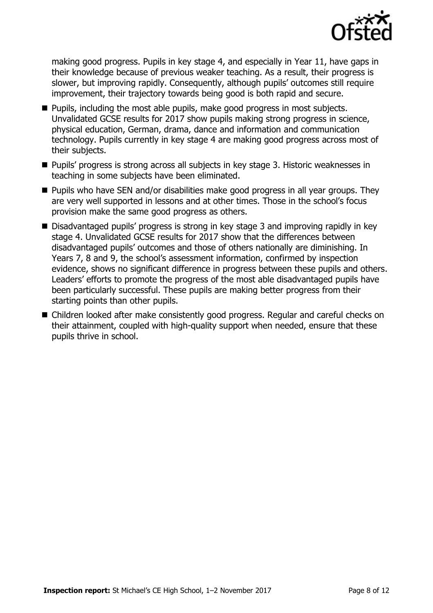

making good progress. Pupils in key stage 4, and especially in Year 11, have gaps in their knowledge because of previous weaker teaching. As a result, their progress is slower, but improving rapidly. Consequently, although pupils' outcomes still require improvement, their trajectory towards being good is both rapid and secure.

- **Pupils, including the most able pupils, make good progress in most subjects.** Unvalidated GCSE results for 2017 show pupils making strong progress in science, physical education, German, drama, dance and information and communication technology. Pupils currently in key stage 4 are making good progress across most of their subjects.
- Pupils' progress is strong across all subjects in key stage 3. Historic weaknesses in teaching in some subjects have been eliminated.
- **Pupils who have SEN and/or disabilities make good progress in all year groups. They** are very well supported in lessons and at other times. Those in the school's focus provision make the same good progress as others.
- Disadvantaged pupils' progress is strong in key stage 3 and improving rapidly in key stage 4. Unvalidated GCSE results for 2017 show that the differences between disadvantaged pupils' outcomes and those of others nationally are diminishing. In Years 7, 8 and 9, the school's assessment information, confirmed by inspection evidence, shows no significant difference in progress between these pupils and others. Leaders' efforts to promote the progress of the most able disadvantaged pupils have been particularly successful. These pupils are making better progress from their starting points than other pupils.
- Children looked after make consistently good progress. Regular and careful checks on their attainment, coupled with high-quality support when needed, ensure that these pupils thrive in school.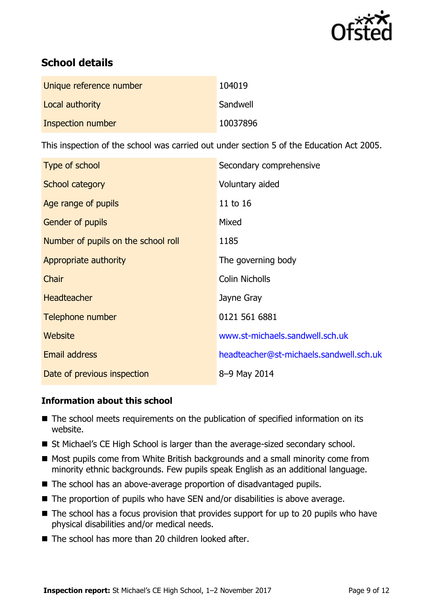

# **School details**

| Unique reference number | 104019   |
|-------------------------|----------|
| Local authority         | Sandwell |
| Inspection number       | 10037896 |

This inspection of the school was carried out under section 5 of the Education Act 2005.

| Type of school                      | Secondary comprehensive                 |
|-------------------------------------|-----------------------------------------|
| School category                     | Voluntary aided                         |
| Age range of pupils                 | 11 to 16                                |
| Gender of pupils                    | Mixed                                   |
| Number of pupils on the school roll | 1185                                    |
| Appropriate authority               | The governing body                      |
| Chair                               | <b>Colin Nicholls</b>                   |
| <b>Headteacher</b>                  | Jayne Gray                              |
| Telephone number                    | 0121 561 6881                           |
| Website                             | www.st-michaels.sandwell.sch.uk         |
| <b>Email address</b>                | headteacher@st-michaels.sandwell.sch.uk |
| Date of previous inspection         | 8-9 May 2014                            |

#### **Information about this school**

- The school meets requirements on the publication of specified information on its website.
- St Michael's CE High School is larger than the average-sized secondary school.
- Most pupils come from White British backgrounds and a small minority come from minority ethnic backgrounds. Few pupils speak English as an additional language.
- The school has an above-average proportion of disadvantaged pupils.
- The proportion of pupils who have SEN and/or disabilities is above average.
- $\blacksquare$  The school has a focus provision that provides support for up to 20 pupils who have physical disabilities and/or medical needs.
- The school has more than 20 children looked after.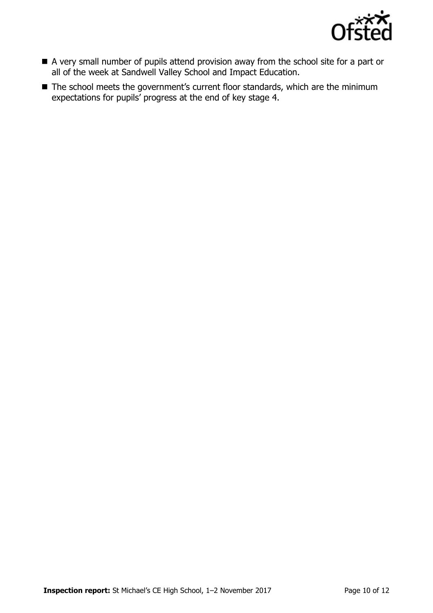

- A very small number of pupils attend provision away from the school site for a part or all of the week at Sandwell Valley School and Impact Education.
- The school meets the government's current floor standards, which are the minimum expectations for pupils' progress at the end of key stage 4.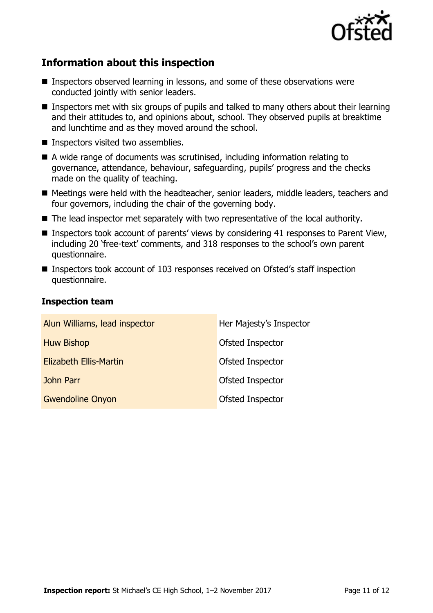

# **Information about this inspection**

- Inspectors observed learning in lessons, and some of these observations were conducted jointly with senior leaders.
- Inspectors met with six groups of pupils and talked to many others about their learning and their attitudes to, and opinions about, school. They observed pupils at breaktime and lunchtime and as they moved around the school.
- **Inspectors visited two assemblies.**
- A wide range of documents was scrutinised, including information relating to governance, attendance, behaviour, safeguarding, pupils' progress and the checks made on the quality of teaching.
- Meetings were held with the headteacher, senior leaders, middle leaders, teachers and four governors, including the chair of the governing body.
- The lead inspector met separately with two representative of the local authority.
- Inspectors took account of parents' views by considering 41 responses to Parent View, including 20 'free-text' comments, and 318 responses to the school's own parent questionnaire.
- Inspectors took account of 103 responses received on Ofsted's staff inspection questionnaire.

#### **Inspection team**

| Alun Williams, lead inspector | Her Majesty's Inspector |
|-------------------------------|-------------------------|
| <b>Huw Bishop</b>             | Ofsted Inspector        |
| <b>Elizabeth Ellis-Martin</b> | Ofsted Inspector        |
| <b>John Parr</b>              | Ofsted Inspector        |
| <b>Gwendoline Onyon</b>       | Ofsted Inspector        |